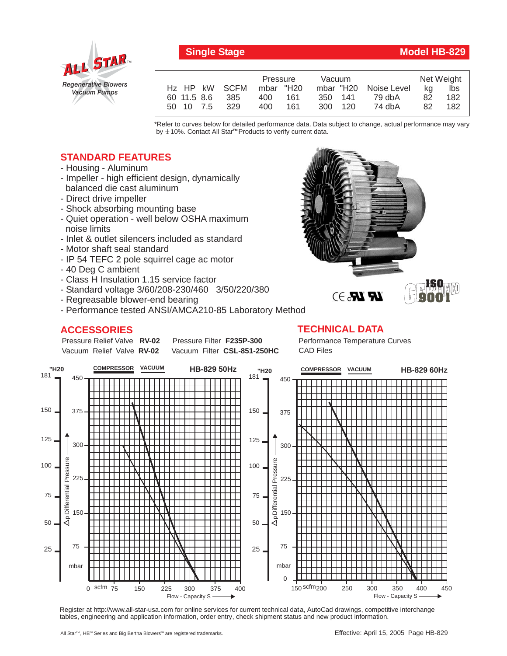

## **Single Stage Model HB-829**

**ISO**

|                           |      | Pressure  |     | Vacuum  |  |                       | Net Weight |     |
|---------------------------|------|-----------|-----|---------|--|-----------------------|------------|-----|
| H <sub>z</sub> HP kW SCFM |      | mbar "H20 |     |         |  | mbar "H20 Noise Level | ka         | lbs |
| 60 11.5 8.6               | -385 | 400       | 161 | 350 141 |  | 79 dbA                | 82         | 182 |
| 50 10 7.5                 | 329  | 400.      | 161 | 300 120 |  | 74 dbA                | 82.        | 182 |

\*Refer to curves below for detailed performance data. Data subject to change, actual performance may vary by **+** 10%. Contact All Star™ Products to verify current data.

## **STANDARD FEATURES**

- Housing Aluminum
- Impeller high efficient design, dynamically balanced die cast aluminum
- Direct drive impeller
- Shock absorbing mounting base
- Quiet operation well below OSHA maximum noise limits
- Inlet & outlet silencers included as standard
- Motor shaft seal standard
- IP 54 TEFC 2 pole squirrel cage ac motor
- 40 Deg C ambient
- Class H Insulation 1.15 service factor
- Standard voltage 3/60/208-230/460 3/50/220/380
- Regreasable blower-end bearing
- Performance tested ANSI/AMCA210-85 Laboratory Method

## **ACCESSORIES**



Pressure Relief Valve RV-02 Vacuum Relief Valve RV-02

Pressure Filter F235P-300 Vacuum Filter CSL-851-250HC

Performance Temperature Curves CAD Files



Register at http://www.all-star-usa.com for online services for current technical data, AutoCad drawings, competitive interchange tables, engineering and application information, order entry, check shipment status and new product information.